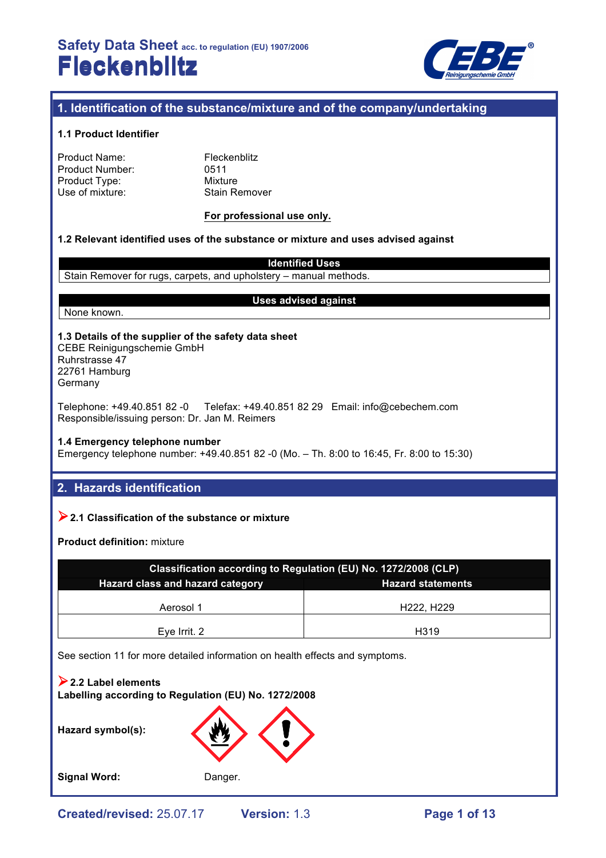

# **1. Identification of the substance/mixture and of the company/undertaking**

#### **1.1 Product Identifier**

| Product Name:   |  |
|-----------------|--|
| Product Number: |  |
| Product Type:   |  |
| Use of mixture: |  |

**Fleckenblitz** 0511 **Mixture** Stain Remover

#### **For professional use only.**

#### **1.2 Relevant identified uses of the substance or mixture and uses advised against**

**Identified Uses** Stain Remover for rugs, carpets, and upholstery – manual methods.

None known.

#### **Uses advised against**

**1.3 Details of the supplier of the safety data sheet** CEBE Reinigungschemie GmbH

Ruhrstrasse 47 22761 Hamburg Germany

Telephone: +49.40.851 82 -0 Telefax: +49.40.851 82 29 Email: info@cebechem.com Responsible/issuing person: Dr. Jan M. Reimers

**1.4 Emergency telephone number**

Emergency telephone number: +49.40.851 82 -0 (Mo. – Th. 8:00 to 16:45, Fr. 8:00 to 15:30)

# **2. Hazards identification**

### !**2.1 Classification of the substance or mixture**

**Product definition:** mixture

| Classification according to Regulation (EU) No. 1272/2008 (CLP) |            |  |  |  |
|-----------------------------------------------------------------|------------|--|--|--|
| Hazard class and hazard category<br><b>Hazard statements</b>    |            |  |  |  |
| Aerosol 1                                                       | H222, H229 |  |  |  |
| Eye Irrit. 2                                                    | H319       |  |  |  |

See section 11 for more detailed information on health effects and symptoms.

!**2.2 Label elements Labelling according to Regulation (EU) No. 1272/2008**

**Hazard symbol(s):**

Signal Word: Danger.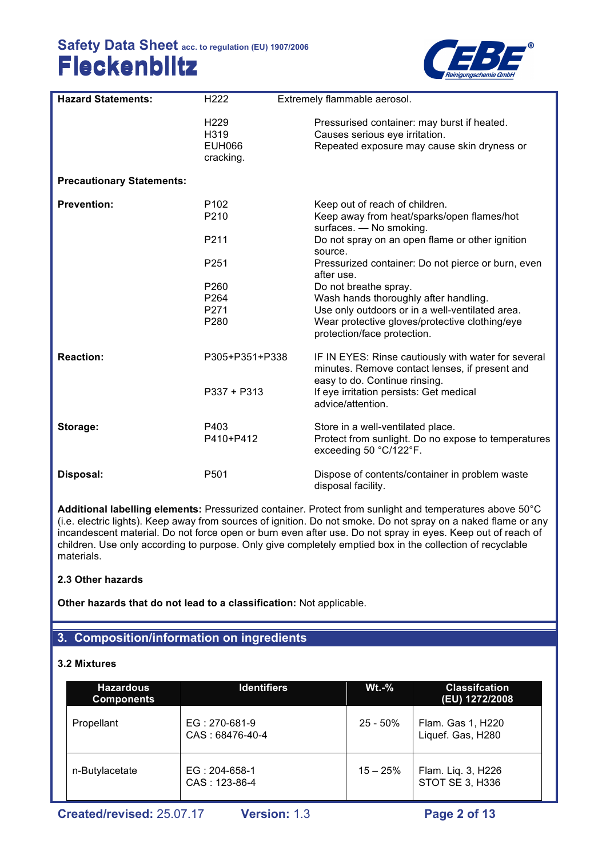

| <b>Hazard Statements:</b>        | H <sub>222</sub>                                       | Extremely flammable aerosol.                                                                                                                                                                       |
|----------------------------------|--------------------------------------------------------|----------------------------------------------------------------------------------------------------------------------------------------------------------------------------------------------------|
|                                  | H <sub>229</sub><br>H319<br><b>EUH066</b><br>cracking. | Pressurised container: may burst if heated.<br>Causes serious eye irritation.<br>Repeated exposure may cause skin dryness or                                                                       |
| <b>Precautionary Statements:</b> |                                                        |                                                                                                                                                                                                    |
| <b>Prevention:</b>               | P <sub>102</sub><br>P210                               | Keep out of reach of children.<br>Keep away from heat/sparks/open flames/hot<br>surfaces. - No smoking.                                                                                            |
|                                  | P211                                                   | Do not spray on an open flame or other ignition<br>source.                                                                                                                                         |
|                                  | P251                                                   | Pressurized container: Do not pierce or burn, even<br>after use.                                                                                                                                   |
|                                  | P260<br>P264<br>P271<br>P280                           | Do not breathe spray.<br>Wash hands thoroughly after handling.<br>Use only outdoors or in a well-ventilated area.<br>Wear protective gloves/protective clothing/eye<br>protection/face protection. |
| <b>Reaction:</b>                 | P305+P351+P338                                         | IF IN EYES: Rinse cautiously with water for several<br>minutes. Remove contact lenses, if present and<br>easy to do. Continue rinsing.                                                             |
|                                  | $P337 + P313$                                          | If eye irritation persists: Get medical<br>advice/attention.                                                                                                                                       |
| Storage:                         | P403<br>P410+P412                                      | Store in a well-ventilated place.<br>Protect from sunlight. Do no expose to temperatures<br>exceeding 50 °C/122°F.                                                                                 |
| Disposal:                        | P <sub>501</sub>                                       | Dispose of contents/container in problem waste<br>disposal facility.                                                                                                                               |

**Additional labelling elements:** Pressurized container. Protect from sunlight and temperatures above 50°C (i.e. electric lights). Keep away from sources of ignition. Do not smoke. Do not spray on a naked flame or any incandescent material. Do not force open or burn even after use. Do not spray in eyes. Keep out of reach of children. Use only according to purpose. Only give completely emptied box in the collection of recyclable materials.

## **2.3 Other hazards**

**Other hazards that do not lead to a classification:** Not applicable.

## **3. Composition/information on ingredients**

### **3.2 Mixtures**

| <b>Hazardous</b><br><b>Components</b> | <b>Identifiers</b>               | $Wt.-%$     | <b>Classifcation</b><br>(EU) 1272/2008       |
|---------------------------------------|----------------------------------|-------------|----------------------------------------------|
| Propellant                            | EG: 270-681-9<br>CAS: 68476-40-4 | $25 - 50\%$ | Flam. Gas 1, H220<br>Liquef. Gas, H280       |
| n-Butylacetate                        | $EG: 204-658-1$<br>CAS: 123-86-4 | $15 - 25%$  | Flam. Liq. 3, H226<br><b>STOT SE 3, H336</b> |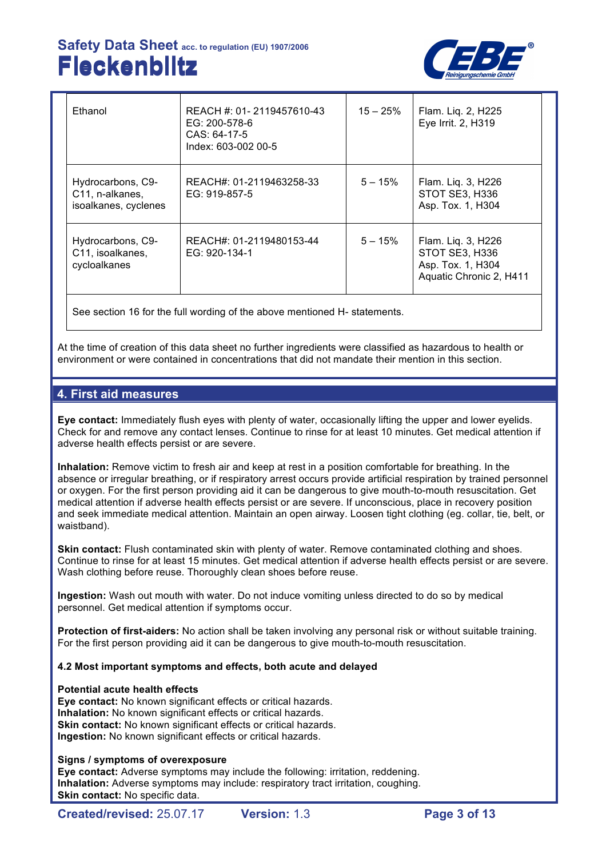

| Ethanol                                                      | REACH #: 01-2119457610-43<br>EG: 200-578-6<br>CAS: 64-17-5<br>Index: 603-002 00-5 | $15 - 25\%$ | Flam. Liq. 2, H225<br>Eye Irrit. 2, H319                                             |
|--------------------------------------------------------------|-----------------------------------------------------------------------------------|-------------|--------------------------------------------------------------------------------------|
| Hydrocarbons, C9-<br>C11, n-alkanes,<br>isoalkanes, cyclenes | REACH#: 01-2119463258-33<br>EG: 919-857-5                                         | $5 - 15%$   | Flam. Liq. 3, H226<br>STOT SE3, H336<br>Asp. Tox. 1, H304                            |
| Hydrocarbons, C9-<br>C11, isoalkanes,<br>cycloalkanes        | REACH#: 01-2119480153-44<br>EG: 920-134-1                                         | $5 - 15%$   | Flam. Liq. 3, H226<br>STOT SE3, H336<br>Asp. Tox. 1, H304<br>Aquatic Chronic 2, H411 |

See section 16 for the full wording of the above mentioned H- statements.

At the time of creation of this data sheet no further ingredients were classified as hazardous to health or environment or were contained in concentrations that did not mandate their mention in this section.

## **4. First aid measures**

**Eye contact:** Immediately flush eyes with plenty of water, occasionally lifting the upper and lower eyelids. Check for and remove any contact lenses. Continue to rinse for at least 10 minutes. Get medical attention if adverse health effects persist or are severe.

**Inhalation:** Remove victim to fresh air and keep at rest in a position comfortable for breathing. In the absence or irregular breathing, or if respiratory arrest occurs provide artificial respiration by trained personnel or oxygen. For the first person providing aid it can be dangerous to give mouth-to-mouth resuscitation. Get medical attention if adverse health effects persist or are severe. If unconscious, place in recovery position and seek immediate medical attention. Maintain an open airway. Loosen tight clothing (eg. collar, tie, belt, or waistband).

**Skin contact:** Flush contaminated skin with plenty of water. Remove contaminated clothing and shoes. Continue to rinse for at least 15 minutes. Get medical attention if adverse health effects persist or are severe. Wash clothing before reuse. Thoroughly clean shoes before reuse.

**Ingestion:** Wash out mouth with water. Do not induce vomiting unless directed to do so by medical personnel. Get medical attention if symptoms occur.

**Protection of first-aiders:** No action shall be taken involving any personal risk or without suitable training. For the first person providing aid it can be dangerous to give mouth-to-mouth resuscitation.

### **4.2 Most important symptoms and effects, both acute and delayed**

### **Potential acute health effects**

**Eye contact:** No known significant effects or critical hazards. **Inhalation:** No known significant effects or critical hazards. **Skin contact:** No known significant effects or critical hazards. **Ingestion:** No known significant effects or critical hazards.

### **Signs / symptoms of overexposure**

**Eye contact:** Adverse symptoms may include the following: irritation, reddening. **Inhalation:** Adverse symptoms may include: respiratory tract irritation, coughing. **Skin contact:** No specific data.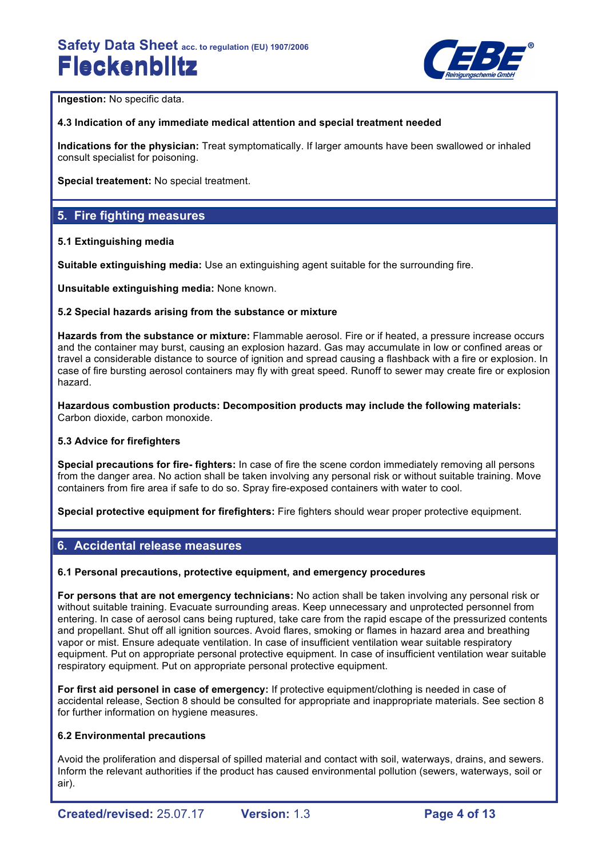

**Ingestion:** No specific data.

### **4.3 Indication of any immediate medical attention and special treatment needed**

**Indications for the physician:** Treat symptomatically. If larger amounts have been swallowed or inhaled consult specialist for poisoning.

**Special treatement:** No special treatment.

## **5. Fire fighting measures**

### **5.1 Extinguishing media**

**Suitable extinguishing media:** Use an extinguishing agent suitable for the surrounding fire.

**Unsuitable extinguishing media:** None known.

### **5.2 Special hazards arising from the substance or mixture**

**Hazards from the substance or mixture:** Flammable aerosol. Fire or if heated, a pressure increase occurs and the container may burst, causing an explosion hazard. Gas may accumulate in low or confined areas or travel a considerable distance to source of ignition and spread causing a flashback with a fire or explosion. In case of fire bursting aerosol containers may fly with great speed. Runoff to sewer may create fire or explosion hazard.

**Hazardous combustion products: Decomposition products may include the following materials:**  Carbon dioxide, carbon monoxide.

### **5.3 Advice for firefighters**

**Special precautions for fire- fighters:** In case of fire the scene cordon immediately removing all persons from the danger area. No action shall be taken involving any personal risk or without suitable training. Move containers from fire area if safe to do so. Spray fire-exposed containers with water to cool.

**Special protective equipment for firefighters:** Fire fighters should wear proper protective equipment.

## **6. Accidental release measures**

### **6.1 Personal precautions, protective equipment, and emergency procedures**

**For persons that are not emergency technicians:** No action shall be taken involving any personal risk or without suitable training. Evacuate surrounding areas. Keep unnecessary and unprotected personnel from entering. In case of aerosol cans being ruptured, take care from the rapid escape of the pressurized contents and propellant. Shut off all ignition sources. Avoid flares, smoking or flames in hazard area and breathing vapor or mist. Ensure adequate ventilation. In case of insufficient ventilation wear suitable respiratory equipment. Put on appropriate personal protective equipment. In case of insufficient ventilation wear suitable respiratory equipment. Put on appropriate personal protective equipment.

**For first aid personel in case of emergency:** If protective equipment/clothing is needed in case of accidental release, Section 8 should be consulted for appropriate and inappropriate materials. See section 8 for further information on hygiene measures.

### **6.2 Environmental precautions**

Avoid the proliferation and dispersal of spilled material and contact with soil, waterways, drains, and sewers. Inform the relevant authorities if the product has caused environmental pollution (sewers, waterways, soil or air).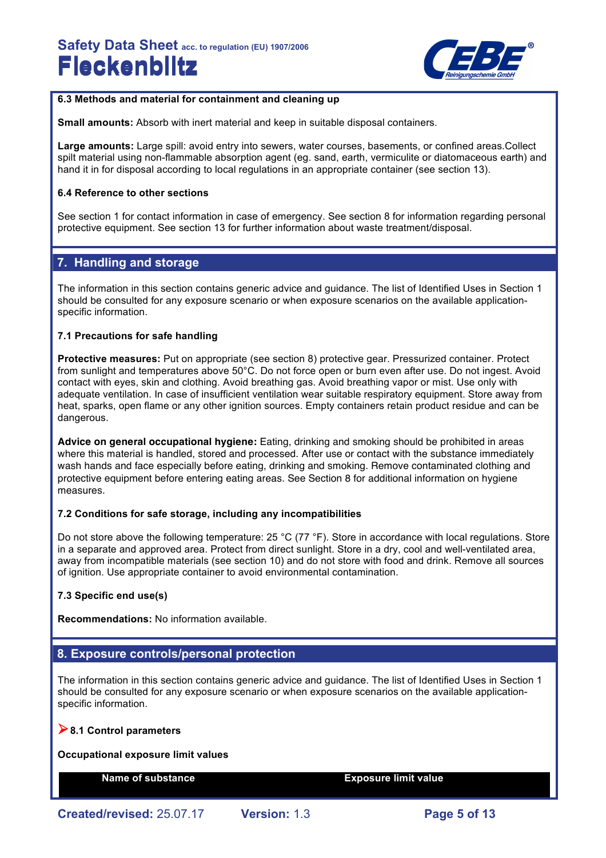

### **6.3 Methods and material for containment and cleaning up**

**Small amounts:** Absorb with inert material and keep in suitable disposal containers.

**Large amounts:** Large spill: avoid entry into sewers, water courses, basements, or confined areas.Collect spilt material using non-flammable absorption agent (eg. sand, earth, vermiculite or diatomaceous earth) and hand it in for disposal according to local regulations in an appropriate container (see section 13).

#### **6.4 Reference to other sections**

See section 1 for contact information in case of emergency. See section 8 for information regarding personal protective equipment. See section 13 for further information about waste treatment/disposal.

# **7. Handling and storage**

The information in this section contains generic advice and guidance. The list of Identified Uses in Section 1 should be consulted for any exposure scenario or when exposure scenarios on the available applicationspecific information.

#### **7.1 Precautions for safe handling**

**Protective measures:** Put on appropriate (see section 8) protective gear. Pressurized container. Protect from sunlight and temperatures above 50°C. Do not force open or burn even after use. Do not ingest. Avoid contact with eyes, skin and clothing. Avoid breathing gas. Avoid breathing vapor or mist. Use only with adequate ventilation. In case of insufficient ventilation wear suitable respiratory equipment. Store away from heat, sparks, open flame or any other ignition sources. Empty containers retain product residue and can be dangerous.

**Advice on general occupational hygiene:** Eating, drinking and smoking should be prohibited in areas where this material is handled, stored and processed. After use or contact with the substance immediately wash hands and face especially before eating, drinking and smoking. Remove contaminated clothing and protective equipment before entering eating areas. See Section 8 for additional information on hygiene measures.

#### **7.2 Conditions for safe storage, including any incompatibilities**

Do not store above the following temperature: 25 °C (77 °F). Store in accordance with local regulations. Store in a separate and approved area. Protect from direct sunlight. Store in a dry, cool and well-ventilated area, away from incompatible materials (see section 10) and do not store with food and drink. Remove all sources of ignition. Use appropriate container to avoid environmental contamination.

### **7.3 Specific end use(s)**

**Recommendations:** No information available.

## **8. Exposure controls/personal protection**

The information in this section contains generic advice and guidance. The list of Identified Uses in Section 1 should be consulted for any exposure scenario or when exposure scenarios on the available applicationspecific information.

### !**8.1 Control parameters**

#### **Occupational exposure limit values**

**Name of substance Exposure limit value**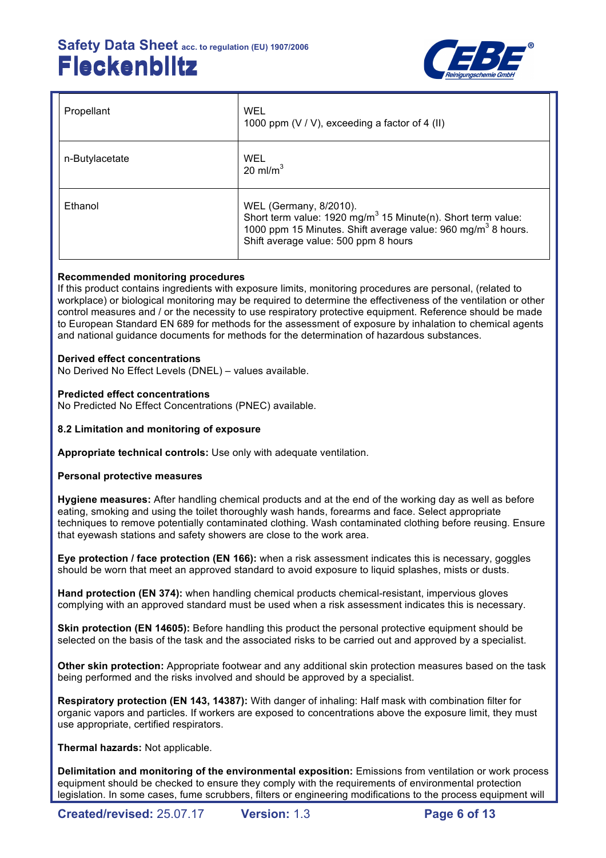

| Propellant     | WEL<br>1000 ppm $(V / V)$ , exceeding a factor of 4 (II)                                                                                                                                                               |
|----------------|------------------------------------------------------------------------------------------------------------------------------------------------------------------------------------------------------------------------|
| n-Butylacetate | WEL<br>20 ml/m <sup>3</sup>                                                                                                                                                                                            |
| Ethanol        | WEL (Germany, 8/2010).<br>Short term value: 1920 mg/m <sup>3</sup> 15 Minute(n). Short term value:<br>1000 ppm 15 Minutes. Shift average value: 960 mg/m <sup>3</sup> 8 hours.<br>Shift average value: 500 ppm 8 hours |

### **Recommended monitoring procedures**

If this product contains ingredients with exposure limits, monitoring procedures are personal, (related to workplace) or biological monitoring may be required to determine the effectiveness of the ventilation or other control measures and / or the necessity to use respiratory protective equipment. Reference should be made to European Standard EN 689 for methods for the assessment of exposure by inhalation to chemical agents and national guidance documents for methods for the determination of hazardous substances.

### **Derived effect concentrations**

No Derived No Effect Levels (DNEL) – values available.

### **Predicted effect concentrations**

No Predicted No Effect Concentrations (PNEC) available.

### **8.2 Limitation and monitoring of exposure**

**Appropriate technical controls:** Use only with adequate ventilation.

### **Personal protective measures**

**Hygiene measures:** After handling chemical products and at the end of the working day as well as before eating, smoking and using the toilet thoroughly wash hands, forearms and face. Select appropriate techniques to remove potentially contaminated clothing. Wash contaminated clothing before reusing. Ensure that eyewash stations and safety showers are close to the work area.

**Eye protection / face protection (EN 166):** when a risk assessment indicates this is necessary, goggles should be worn that meet an approved standard to avoid exposure to liquid splashes, mists or dusts.

**Hand protection (EN 374):** when handling chemical products chemical-resistant, impervious gloves complying with an approved standard must be used when a risk assessment indicates this is necessary.

**Skin protection (EN 14605):** Before handling this product the personal protective equipment should be selected on the basis of the task and the associated risks to be carried out and approved by a specialist.

**Other skin protection:** Appropriate footwear and any additional skin protection measures based on the task being performed and the risks involved and should be approved by a specialist.

**Respiratory protection (EN 143, 14387):** With danger of inhaling: Half mask with combination filter for organic vapors and particles. If workers are exposed to concentrations above the exposure limit, they must use appropriate, certified respirators.

### **Thermal hazards:** Not applicable.

**Delimitation and monitoring of the environmental exposition:** Emissions from ventilation or work process equipment should be checked to ensure they comply with the requirements of environmental protection legislation. In some cases, fume scrubbers, filters or engineering modifications to the process equipment will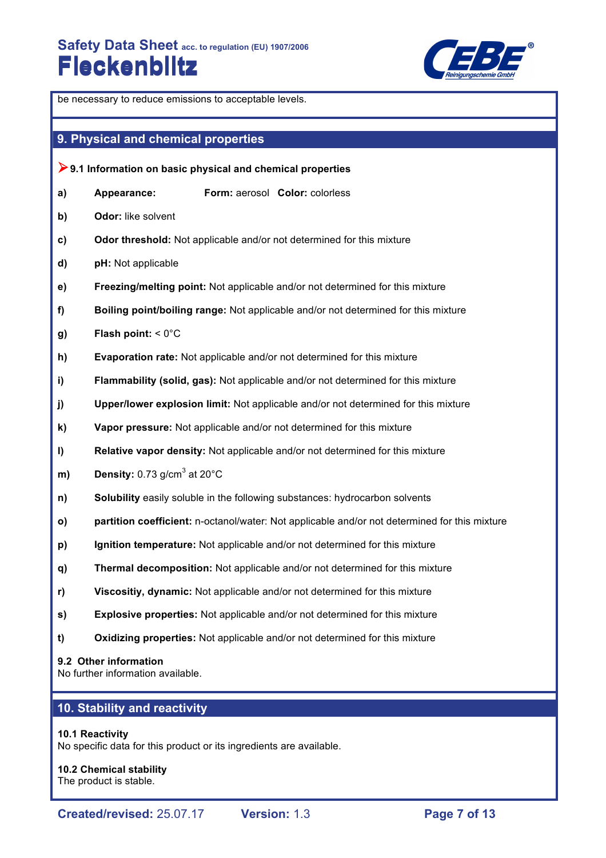

be necessary to reduce emissions to acceptable levels. **9. Physical and chemical properties** !**9.1 Information on basic physical and chemical properties a) Appearance: Form:** aerosol **Color:** colorless **b) Odor:** like solvent **c) Odor threshold:** Not applicable and/or not determined for this mixture **d) pH:** Not applicable **e) Freezing/melting point:** Not applicable and/or not determined for this mixture **f) Boiling point/boiling range:** Not applicable and/or not determined for this mixture **g) Flash point:** < 0°C **h) Evaporation rate:** Not applicable and/or not determined for this mixture **i) Flammability (solid, gas):** Not applicable and/or not determined for this mixture **j) Upper/lower explosion limit:** Not applicable and/or not determined for this mixture **k) Vapor pressure:** Not applicable and/or not determined for this mixture **l) Relative vapor density:** Not applicable and/or not determined for this mixture **m) Density:**  $0.73$  g/cm<sup>3</sup> at  $20^{\circ}$ C **n) Solubility** easily soluble in the following substances: hydrocarbon solvents **o) partition coefficient:** n-octanol/water: Not applicable and/or not determined for this mixture **p) Ignition temperature:** Not applicable and/or not determined for this mixture **q) Thermal decomposition:** Not applicable and/or not determined for this mixture **r) Viscositiy, dynamic:** Not applicable and/or not determined for this mixture **s) Explosive properties:** Not applicable and/or not determined for this mixture **t) Oxidizing properties:** Not applicable and/or not determined for this mixture **9.2 Other information**

No further information available.

# **10. Stability and reactivity**

#### **10.1 Reactivity**

No specific data for this product or its ingredients are available.

**10.2 Chemical stability** The product is stable.

**Created/revised:** 25.07.17 **Version:** 1.3 **Page 7 of 13**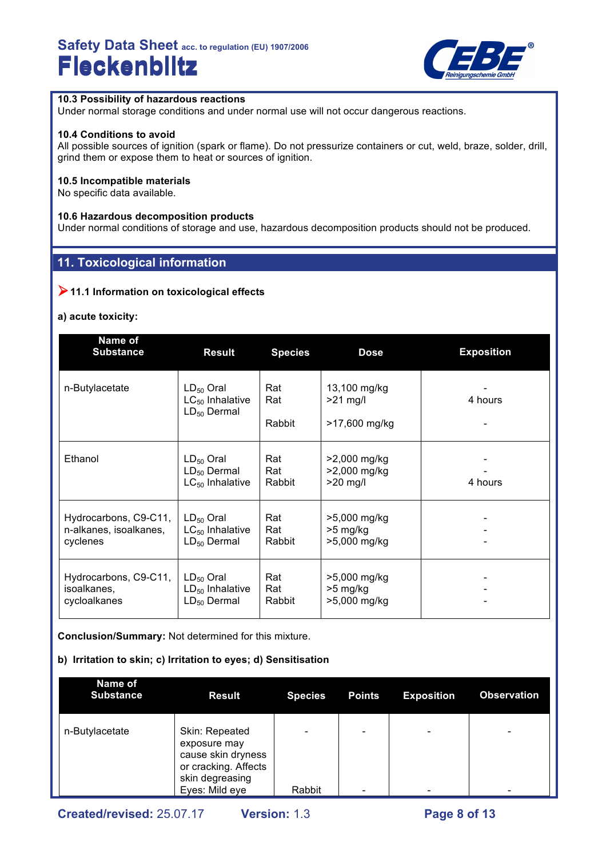

### **10.3 Possibility of hazardous reactions**

Under normal storage conditions and under normal use will not occur dangerous reactions.

#### **10.4 Conditions to avoid**

All possible sources of ignition (spark or flame). Do not pressurize containers or cut, weld, braze, solder, drill, grind them or expose them to heat or sources of ignition.

#### **10.5 Incompatible materials**

No specific data available.

#### **10.6 Hazardous decomposition products**

Under normal conditions of storage and use, hazardous decomposition products should not be produced.

## **11. Toxicological information**

## !**11.1 Information on toxicological effects**

#### **a) acute toxicity:**

| Name of<br><b>Substance</b>                                 | <b>Result</b>                                              | <b>Species</b>       | <b>Dose</b>                                 | <b>Exposition</b> |
|-------------------------------------------------------------|------------------------------------------------------------|----------------------|---------------------------------------------|-------------------|
| n-Butylacetate                                              | $LD_{50}$ Oral<br>$LC_{50}$ Inhalative<br>$LD_{50}$ Dermal | Rat<br>Rat<br>Rabbit | 13,100 mg/kg<br>$>21$ mg/l<br>>17,600 mg/kg | 4 hours           |
| Ethanol                                                     | $LD_{50}$ Oral<br>$LD_{50}$ Dermal<br>$LC_{50}$ Inhalative | Rat<br>Rat<br>Rabbit | >2,000 mg/kg<br>>2,000 mg/kg<br>$>20$ mg/l  | 4 hours           |
| Hydrocarbons, C9-C11,<br>n-alkanes, isoalkanes,<br>cyclenes | $LD_{50}$ Oral<br>$LC_{50}$ Inhalative<br>$LD_{50}$ Dermal | Rat<br>Rat<br>Rabbit | >5,000 mg/kg<br>$>5$ mg/kg<br>>5,000 mg/kg  |                   |
| Hydrocarbons, C9-C11,<br>isoalkanes,<br>cycloalkanes        | $LD_{50}$ Oral<br>$LD_{50}$ Inhalative<br>$LD_{50}$ Dermal | Rat<br>Rat<br>Rabbit | >5,000 mg/kg<br>$>5$ mg/kg<br>>5,000 mg/kg  |                   |

**Conclusion/Summary:** Not determined for this mixture.

#### **b) Irritation to skin; c) Irritation to eyes; d) Sensitisation**

| <b>Name of</b><br><b>Substance</b> | <b>Result</b>                                                                                                     | <b>Species</b> | <b>Points</b>                                        | <b>Exposition</b>            | <b>Observation</b>            |
|------------------------------------|-------------------------------------------------------------------------------------------------------------------|----------------|------------------------------------------------------|------------------------------|-------------------------------|
| n-Butylacetate                     | Skin: Repeated<br>exposure may<br>cause skin dryness<br>or cracking. Affects<br>skin degreasing<br>Eyes: Mild eye | Rabbit         | $\overline{\phantom{0}}$<br>$\overline{\phantom{0}}$ | $\qquad \qquad \blacksquare$ | $\overline{\phantom{0}}$<br>- |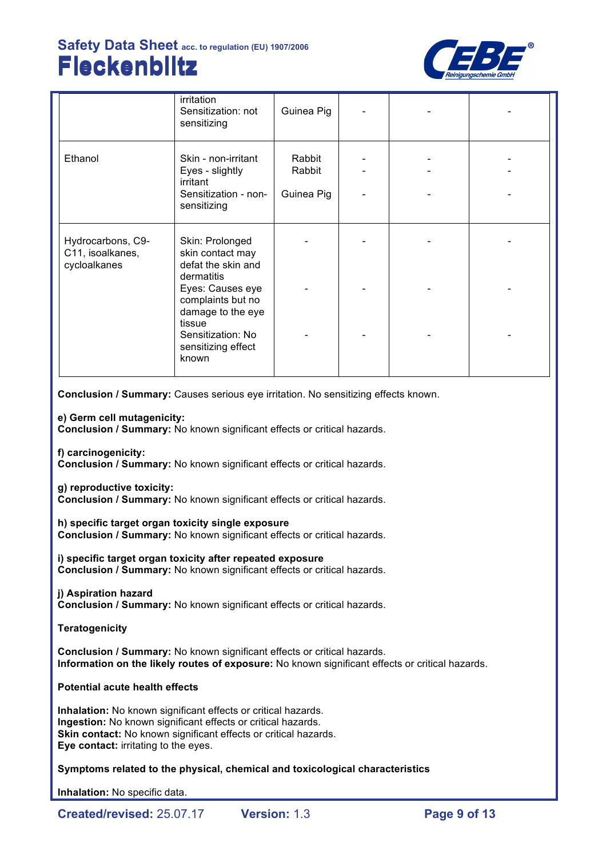

|                                                       | irritation<br>Sensitization: not<br>sensitizing                                           | Guinea Pig                     |  |  |
|-------------------------------------------------------|-------------------------------------------------------------------------------------------|--------------------------------|--|--|
| Ethanol                                               | Skin - non-irritant<br>Eyes - slightly<br>irritant<br>Sensitization - non-<br>sensitizing | Rabbit<br>Rabbit<br>Guinea Pig |  |  |
| Hydrocarbons, C9-<br>C11, isoalkanes,<br>cycloalkanes | Skin: Prolonged<br>skin contact may<br>defat the skin and<br>dermatitis                   |                                |  |  |
|                                                       | Eyes: Causes eye<br>complaints but no<br>damage to the eye<br>tissue                      |                                |  |  |
|                                                       | Sensitization: No<br>sensitizing effect<br>known                                          |                                |  |  |

**Conclusion / Summary:** Causes serious eye irritation. No sensitizing effects known.

**e) Germ cell mutagenicity:**

**Conclusion / Summary:** No known significant effects or critical hazards.

**f) carcinogenicity:**

**Conclusion / Summary:** No known significant effects or critical hazards.

**g) reproductive toxicity:**

**Conclusion / Summary:** No known significant effects or critical hazards.

**h) specific target organ toxicity single exposure**

**Conclusion / Summary:** No known significant effects or critical hazards.

**i) specific target organ toxicity after repeated exposure Conclusion / Summary:** No known significant effects or critical hazards.

### **j) Aspiration hazard**

**Conclusion / Summary:** No known significant effects or critical hazards.

**Teratogenicity**

**Conclusion / Summary:** No known significant effects or critical hazards. **Information on the likely routes of exposure:** No known significant effects or critical hazards.

### **Potential acute health effects**

**Inhalation:** No known significant effects or critical hazards. **Ingestion:** No known significant effects or critical hazards. **Skin contact:** No known significant effects or critical hazards. **Eye contact:** irritating to the eyes.

**Symptoms related to the physical, chemical and toxicological characteristics**

**Inhalation:** No specific data.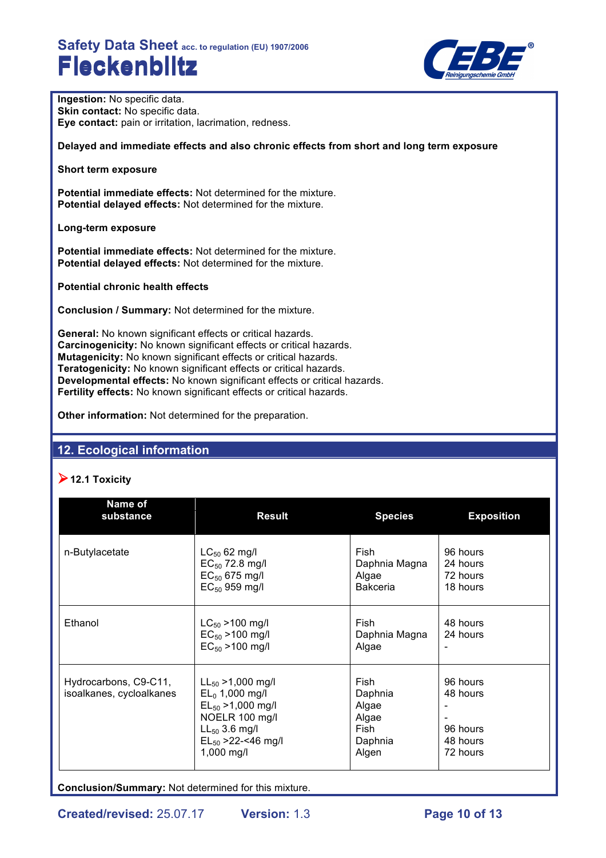

**Ingestion:** No specific data. **Skin contact:** No specific data. **Eye contact:** pain or irritation, lacrimation, redness.

**Delayed and immediate effects and also chronic effects from short and long term exposure**

**Short term exposure**

**Potential immediate effects:** Not determined for the mixture. **Potential delayed effects:** Not determined for the mixture.

**Long-term exposure**

**Potential immediate effects:** Not determined for the mixture. **Potential delayed effects:** Not determined for the mixture.

**Potential chronic health effects**

**Conclusion / Summary:** Not determined for the mixture.

**General:** No known significant effects or critical hazards. **Carcinogenicity:** No known significant effects or critical hazards. **Mutagenicity:** No known significant effects or critical hazards. **Teratogenicity:** No known significant effects or critical hazards. **Developmental effects:** No known significant effects or critical hazards. **Fertility effects:** No known significant effects or critical hazards.

**Other information:** Not determined for the preparation.

## **12. Ecological information**

## !**12.1 Toxicity**

| Name of<br>substance                              | <b>Result</b>                                                                                                                                           | <b>Species</b>                                                | <b>Exposition</b>                                        |
|---------------------------------------------------|---------------------------------------------------------------------------------------------------------------------------------------------------------|---------------------------------------------------------------|----------------------------------------------------------|
| n-Butylacetate                                    | $LC_{50}$ 62 mg/l<br>$EC_{50}$ 72.8 mg/l<br>$EC_{50}$ 675 mg/l<br>$EC_{50}$ 959 mg/l                                                                    | Fish<br>Daphnia Magna<br>Algae<br><b>Bakceria</b>             | 96 hours<br>24 hours<br>72 hours<br>18 hours             |
| Ethanol                                           | $LC_{50}$ > 100 mg/l<br>$EC_{50} > 100$ mg/l<br>$EC_{50} > 100$ mg/l                                                                                    | Fish<br>Daphnia Magna<br>Algae                                | 48 hours<br>24 hours                                     |
| Hydrocarbons, C9-C11,<br>isoalkanes, cycloalkanes | $LL_{50} > 1,000$ mg/l<br>$EL_0$ 1,000 mg/l<br>$EL_{50} > 1,000$ mg/l<br>NOELR 100 mg/l<br>$LL_{50}$ 3.6 mg/l<br>$EL_{50} > 22 - 46$ mg/l<br>1,000 mg/l | Fish<br>Daphnia<br>Algae<br>Algae<br>Fish<br>Daphnia<br>Algen | 96 hours<br>48 hours<br>96 hours<br>48 hours<br>72 hours |

**Conclusion/Summary:** Not determined for this mixture.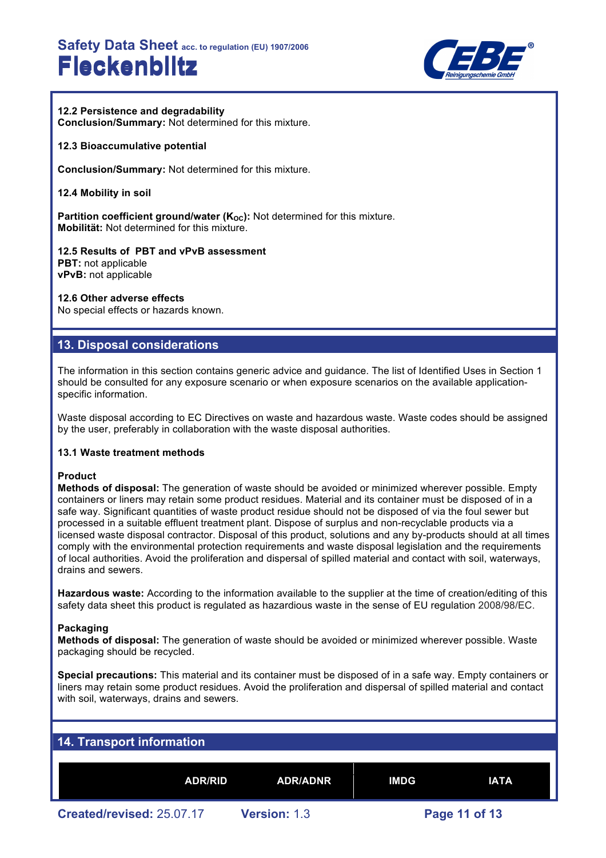

### **12.2 Persistence and degradability**

**Conclusion/Summary:** Not determined for this mixture.

#### **12.3 Bioaccumulative potential**

**Conclusion/Summary:** Not determined for this mixture.

**12.4 Mobility in soil**

**Partition coefficient ground/water (K<sub>OC</sub>):** Not determined for this mixture. **Mobilität:** Not determined for this mixture.

**12.5 Results of PBT and vPvB assessment PBT:** not applicable **vPvB:** not applicable

#### **12.6 Other adverse effects**

No special effects or hazards known.

### **13. Disposal considerations**

The information in this section contains generic advice and guidance. The list of Identified Uses in Section 1 should be consulted for any exposure scenario or when exposure scenarios on the available applicationspecific information.

Waste disposal according to EC Directives on waste and hazardous waste. Waste codes should be assigned by the user, preferably in collaboration with the waste disposal authorities.

#### **13.1 Waste treatment methods**

#### **Product**

**Methods of disposal:** The generation of waste should be avoided or minimized wherever possible. Empty containers or liners may retain some product residues. Material and its container must be disposed of in a safe way. Significant quantities of waste product residue should not be disposed of via the foul sewer but processed in a suitable effluent treatment plant. Dispose of surplus and non-recyclable products via a licensed waste disposal contractor. Disposal of this product, solutions and any by-products should at all times comply with the environmental protection requirements and waste disposal legislation and the requirements of local authorities. Avoid the proliferation and dispersal of spilled material and contact with soil, waterways, drains and sewers.

**Hazardous waste:** According to the information available to the supplier at the time of creation/editing of this safety data sheet this product is regulated as hazardious waste in the sense of EU regulation 2008/98/EC.

#### **Packaging**

**Methods of disposal:** The generation of waste should be avoided or minimized wherever possible. Waste packaging should be recycled.

**Special precautions:** This material and its container must be disposed of in a safe way. Empty containers or liners may retain some product residues. Avoid the proliferation and dispersal of spilled material and contact with soil, waterways, drains and sewers.

| 14. Transport information |                     |             |               |  |
|---------------------------|---------------------|-------------|---------------|--|
|                           |                     |             |               |  |
| <b>ADR/RID</b>            | <b>ADR/ADNR</b>     | <b>IMDG</b> | <b>IATA</b>   |  |
| Created/revised: 25.07.17 | <b>Version: 1.3</b> |             | Page 11 of 13 |  |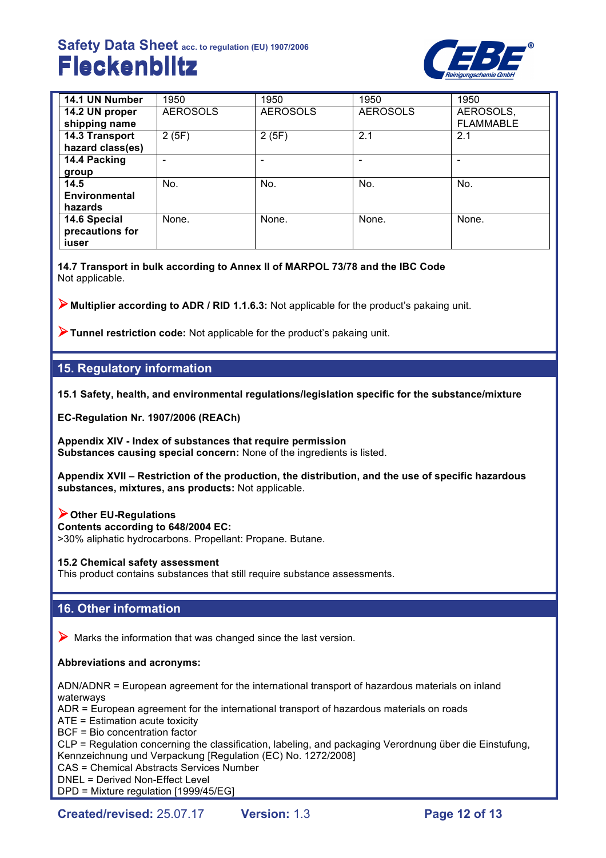

| 14.1 UN Number       | 1950            | 1950            | 1950            | 1950             |
|----------------------|-----------------|-----------------|-----------------|------------------|
| 14.2 UN proper       | <b>AEROSOLS</b> | <b>AEROSOLS</b> | <b>AEROSOLS</b> | AEROSOLS,        |
| shipping name        |                 |                 |                 | <b>FLAMMABLE</b> |
| 14.3 Transport       | 2(5F)           | 2(5F)           | 2.1             | 2.1              |
| hazard class(es)     |                 |                 |                 |                  |
| 14.4 Packing         |                 |                 |                 |                  |
| group                |                 |                 |                 |                  |
| 14.5                 | No.             | No.             | No.             | No.              |
| <b>Environmental</b> |                 |                 |                 |                  |
| hazards              |                 |                 |                 |                  |
| 14.6 Special         | None.           | None.           | None.           | None.            |
| precautions for      |                 |                 |                 |                  |
| iuser                |                 |                 |                 |                  |

**14.7 Transport in bulk according to Annex II of MARPOL 73/78 and the IBC Code** Not applicable.

!**Multiplier according to ADR / RID 1.1.6.3:** Not applicable for the product's pakaing unit.

!**Tunnel restriction code:** Not applicable for the product's pakaing unit.

# **15. Regulatory information**

**15.1 Safety, health, and environmental regulations/legislation specific for the substance/mixture**

**EC-Regulation Nr. 1907/2006 (REACh)**

**Appendix XIV - Index of substances that require permission Substances causing special concern:** None of the ingredients is listed.

**Appendix XVII – Restriction of the production, the distribution, and the use of specific hazardous substances, mixtures, ans products:** Not applicable.

!**Other EU-Regulations**

**Contents according to 648/2004 EC:**

>30% aliphatic hydrocarbons. Propellant: Propane. Butane.

#### **15.2 Chemical safety assessment**

This product contains substances that still require substance assessments.

## **16. Other information**

 $\triangleright$  Marks the information that was changed since the last version.

### **Abbreviations and acronyms:**

ADN/ADNR = European agreement for the international transport of hazardous materials on inland waterways

ADR = European agreement for the international transport of hazardous materials on roads

ATE = Estimation acute toxicity

BCF = Bio concentration factor

CLP = Regulation concerning the classification, labeling, and packaging Verordnung über die Einstufung, Kennzeichnung und Verpackung [Regulation (EC) No. 1272/2008]

CAS = Chemical Abstracts Services Number

DNEL = Derived Non-Effect Level

DPD = Mixture regulation [1999/45/EG]